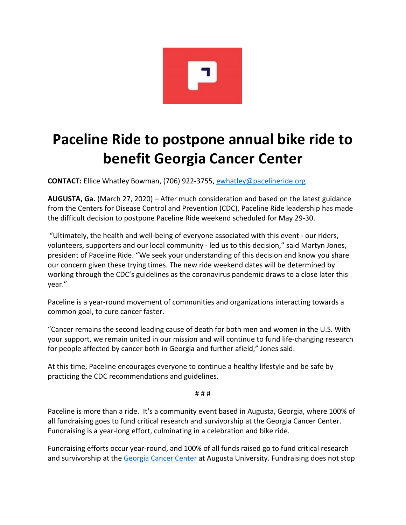

## **Paceline Ride to postpone annual bike ride to benefit Georgia Cancer Center**

**CONTACT:** Ellice Whatley Bowman, (706) 922-3755, [ewhatley@pacelineride.org](mailto:ewhatley@pacelineride.org)

**AUGUSTA, Ga.** (March 27, 2020) – After much consideration and based on the latest guidance from the Centers for Disease Control and Prevention (CDC), Paceline Ride leadership has made the difficult decision to postpone Paceline Ride weekend scheduled for May 29-30.

"Ultimately, the health and well-being of everyone associated with this event - our riders, volunteers, supporters and our local community - led us to this decision," said Martyn Jones, president of Paceline Ride. "We seek your understanding of this decision and know you share our concern given these trying times. The new ride weekend dates will be determined by working through the CDC's guidelines as the coronavirus pandemic draws to a close later this year."

Paceline is a year-round movement of communities and organizations interacting towards a common goal, to cure cancer faster.

"Cancer remains the second leading cause of death for both men and women in the U.S. With your support, we remain united in our mission and will continue to fund life-changing research for people affected by cancer both in Georgia and further afield," Jones said.

At this time, Paceline encourages everyone to continue a healthy lifestyle and be safe by practicing the CDC recommendations and guidelines.

# # #

Paceline is more than a ride. It's a community event based in Augusta, Georgia, where 100% of all fundraising goes to fund critical research and survivorship at the Georgia Cancer Center. Fundraising is a year-long effort, culminating in a celebration and bike ride.

Fundraising efforts occur year-round, and 100% of all funds raised go to fund critical research and survivorship at th[e Georgia Cancer Center](https://www.pacelineride.org/about/the-georgia-cancer-center/) at Augusta University. Fundraising does not stop